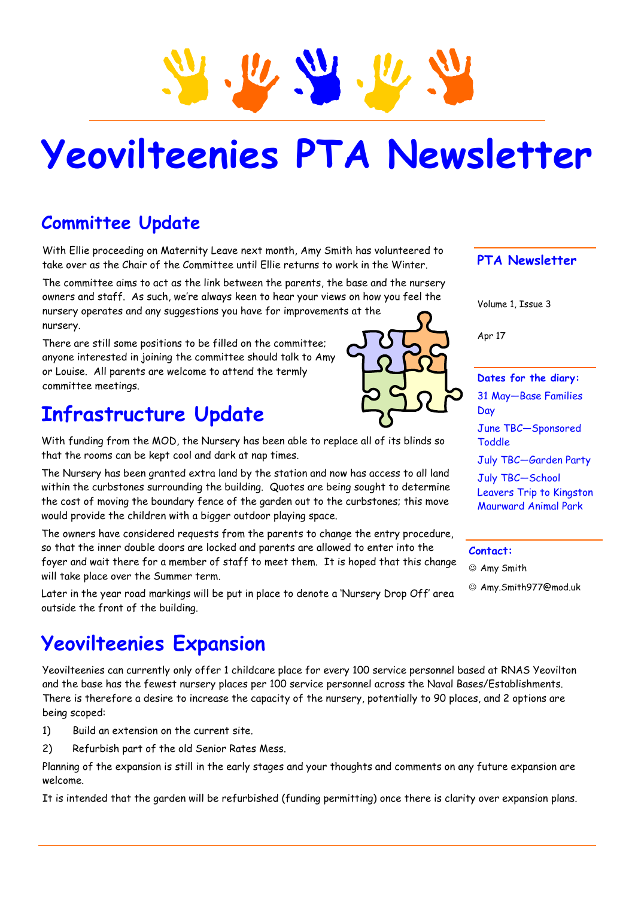

# **Yeovilteenies PTA Newsletter**

## **Committee Update**

With Ellie proceeding on Maternity Leave next month, Amy Smith has volunteered to take over as the Chair of the Committee until Ellie returns to work in the Winter.

The committee aims to act as the link between the parents, the base and the nursery owners and staff. As such, we're always keen to hear your views on how you feel the nursery operates and any suggestions you have for improvements at the nursery.

There are still some positions to be filled on the committee; anyone interested in joining the committee should talk to Amy or Louise. All parents are welcome to attend the termly committee meetings.

## **Infrastructure Update**

With funding from the MOD, the Nursery has been able to replace all of its blinds so that the rooms can be kept cool and dark at nap times.

The Nursery has been granted extra land by the station and now has access to all land within the curbstones surrounding the building. Quotes are being sought to determine the cost of moving the boundary fence of the garden out to the curbstones; this move would provide the children with a bigger outdoor playing space.

The owners have considered requests from the parents to change the entry procedure, so that the inner double doors are locked and parents are allowed to enter into the foyer and wait there for a member of staff to meet them. It is hoped that this change will take place over the Summer term.

Later in the year road markings will be put in place to denote a 'Nursery Drop Off' area outside the front of the building.

## **Yeovilteenies Expansion**

Yeovilteenies can currently only offer 1 childcare place for every 100 service personnel based at RNAS Yeovilton and the base has the fewest nursery places per 100 service personnel across the Naval Bases/Establishments. There is therefore a desire to increase the capacity of the nursery, potentially to 90 places, and 2 options are being scoped:

- 1) Build an extension on the current site.
- 2) Refurbish part of the old Senior Rates Mess.

Planning of the expansion is still in the early stages and your thoughts and comments on any future expansion are welcome.

It is intended that the garden will be refurbished (funding permitting) once there is clarity over expansion plans.

## **PTA Newsletter**

Volume 1, Issue 3

Apr 17

#### **Dates for the diary:**

31 May—Base Families June TBC—Sponsored Toddle July TBC—Garden Party July TBC—School Leavers Trip to Kingston Maurward Animal Park

### **Contact:**

Amy Smith

Amy.Smith977@mod.uk